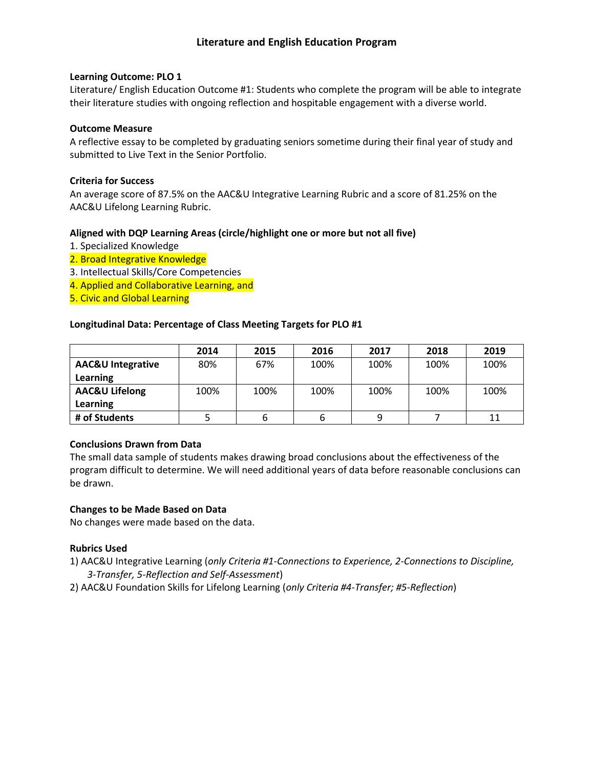### **Learning Outcome: PLO 1**

Literature/ English Education Outcome #1: Students who complete the program will be able to integrate their literature studies with ongoing reflection and hospitable engagement with a diverse world.

### **Outcome Measure**

A reflective essay to be completed by graduating seniors sometime during their final year of study and submitted to Live Text in the Senior Portfolio.

### **Criteria for Success**

An average score of 87.5% on the AAC&U Integrative Learning Rubric and a score of 81.25% on the AAC&U Lifelong Learning Rubric.

# **Aligned with DQP Learning Areas (circle/highlight one or more but not all five)**

- 1. Specialized Knowledge
- 2. Broad Integrative Knowledge
- 3. Intellectual Skills/Core Competencies
- 4. Applied and Collaborative Learning, and
- 5. Civic and Global Learning

### **Longitudinal Data: Percentage of Class Meeting Targets for PLO #1**

|                              | 2014 | 2015 | 2016 | 2017 | 2018 | 2019 |
|------------------------------|------|------|------|------|------|------|
| <b>AAC&amp;U Integrative</b> | 80%  | 67%  | 100% | 100% | 100% | 100% |
| <b>Learning</b>              |      |      |      |      |      |      |
| <b>AAC&amp;U Lifelong</b>    | 100% | 100% | 100% | 100% | 100% | 100% |
| <b>Learning</b>              |      |      |      |      |      |      |
| # of Students                |      |      | o    |      |      | 11   |

#### **Conclusions Drawn from Data**

The small data sample of students makes drawing broad conclusions about the effectiveness of the program difficult to determine. We will need additional years of data before reasonable conclusions can be drawn.

# **Changes to be Made Based on Data**

No changes were made based on the data.

# **Rubrics Used**

- 1) AAC&U Integrative Learning (*only Criteria #1-Connections to Experience, 2-Connections to Discipline, 3-Transfer, 5-Reflection and Self-Assessment*)
- 2) AAC&U Foundation Skills for Lifelong Learning (*only Criteria #4-Transfer; #5-Reflection*)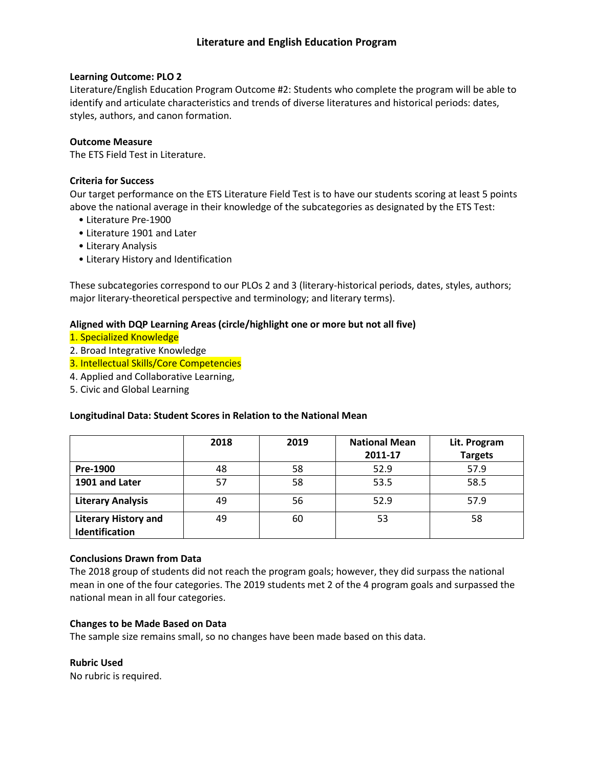# **Learning Outcome: PLO 2**

Literature/English Education Program Outcome #2: Students who complete the program will be able to identify and articulate characteristics and trends of diverse literatures and historical periods: dates, styles, authors, and canon formation.

# **Outcome Measure**

The ETS Field Test in Literature.

# **Criteria for Success**

Our target performance on the ETS Literature Field Test is to have our students scoring at least 5 points above the national average in their knowledge of the subcategories as designated by the ETS Test:

- Literature Pre-1900
- Literature 1901 and Later
- Literary Analysis
- Literary History and Identification

These subcategories correspond to our PLOs 2 and 3 (literary-historical periods, dates, styles, authors; major literary-theoretical perspective and terminology; and literary terms).

# **Aligned with DQP Learning Areas (circle/highlight one or more but not all five)**

- 1. Specialized Knowledge
- 2. Broad Integrative Knowledge
- 3. Intellectual Skills/Core Competencies
- 4. Applied and Collaborative Learning,
- 5. Civic and Global Learning

# **Longitudinal Data: Student Scores in Relation to the National Mean**

|                                               | 2018 | 2019 | <b>National Mean</b><br>2011-17 | Lit. Program<br><b>Targets</b> |
|-----------------------------------------------|------|------|---------------------------------|--------------------------------|
| Pre-1900                                      | 48   | 58   | 52.9                            | 57.9                           |
| 1901 and Later                                | 57   | 58   | 53.5                            | 58.5                           |
| <b>Literary Analysis</b>                      | 49   | 56   | 52.9                            | 57.9                           |
| <b>Literary History and</b><br>Identification | 49   | 60   | 53                              | 58                             |

# **Conclusions Drawn from Data**

The 2018 group of students did not reach the program goals; however, they did surpass the national mean in one of the four categories. The 2019 students met 2 of the 4 program goals and surpassed the national mean in all four categories.

# **Changes to be Made Based on Data**

The sample size remains small, so no changes have been made based on this data.

# **Rubric Used**

No rubric is required.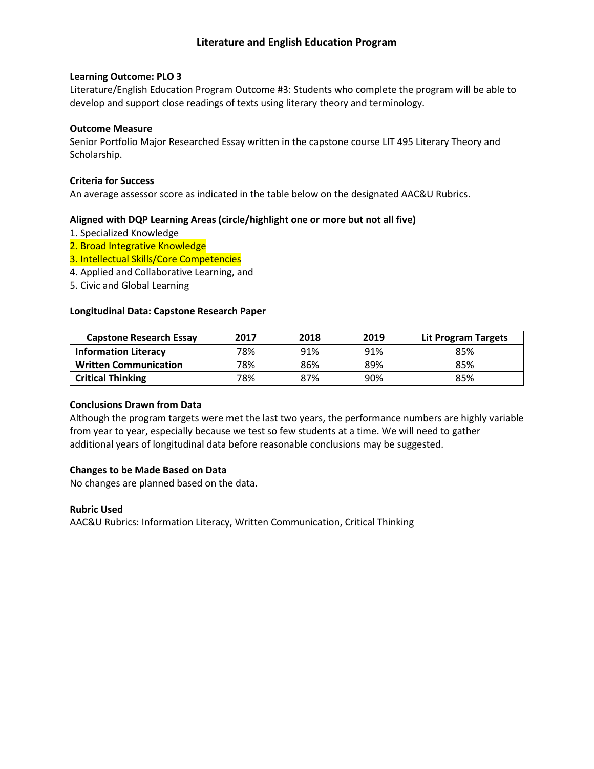### **Learning Outcome: PLO 3**

Literature/English Education Program Outcome #3: Students who complete the program will be able to develop and support close readings of texts using literary theory and terminology.

### **Outcome Measure**

Senior Portfolio Major Researched Essay written in the capstone course LIT 495 Literary Theory and Scholarship.

### **Criteria for Success**

An average assessor score as indicated in the table below on the designated AAC&U Rubrics.

# **Aligned with DQP Learning Areas (circle/highlight one or more but not all five)**

- 1. Specialized Knowledge
- 2. Broad Integrative Knowledge
- 3. Intellectual Skills/Core Competencies
- 4. Applied and Collaborative Learning, and
- 5. Civic and Global Learning

### **Longitudinal Data: Capstone Research Paper**

| <b>Capstone Research Essay</b> | 2017 | 2018 | 2019 | Lit Program Targets |
|--------------------------------|------|------|------|---------------------|
| <b>Information Literacy</b>    | 78%  | 91%  | 91%  | 85%                 |
| <b>Written Communication</b>   | 78%  | 86%  | 89%  | 85%                 |
| <b>Critical Thinking</b>       | 78%  | 87%  | 90%  | 85%                 |

#### **Conclusions Drawn from Data**

Although the program targets were met the last two years, the performance numbers are highly variable from year to year, especially because we test so few students at a time. We will need to gather additional years of longitudinal data before reasonable conclusions may be suggested.

# **Changes to be Made Based on Data**

No changes are planned based on the data.

#### **Rubric Used**

AAC&U Rubrics: Information Literacy, Written Communication, Critical Thinking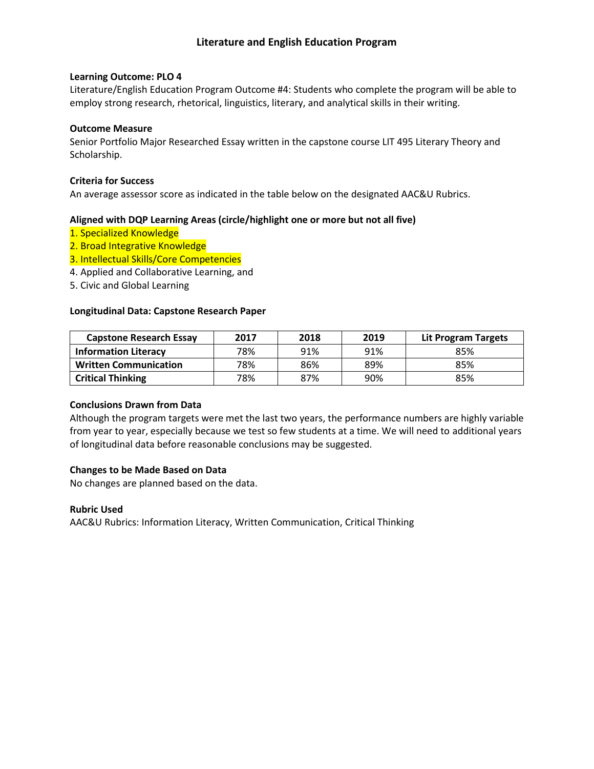### **Learning Outcome: PLO 4**

Literature/English Education Program Outcome #4: Students who complete the program will be able to employ strong research, rhetorical, linguistics, literary, and analytical skills in their writing.

### **Outcome Measure**

Senior Portfolio Major Researched Essay written in the capstone course LIT 495 Literary Theory and Scholarship.

### **Criteria for Success**

An average assessor score as indicated in the table below on the designated AAC&U Rubrics.

# **Aligned with DQP Learning Areas (circle/highlight one or more but not all five)**

- 1. Specialized Knowledge
- 2. Broad Integrative Knowledge
- 3. Intellectual Skills/Core Competencies
- 4. Applied and Collaborative Learning, and
- 5. Civic and Global Learning

### **Longitudinal Data: Capstone Research Paper**

| <b>Capstone Research Essay</b> | 2017 | 2018 | 2019 | Lit Program Targets |
|--------------------------------|------|------|------|---------------------|
| <b>Information Literacy</b>    | 78%  | 91%  | 91%  | 85%                 |
| <b>Written Communication</b>   | 78%  | 86%  | 89%  | 85%                 |
| <b>Critical Thinking</b>       | 78%  | 87%  | 90%  | 85%                 |

#### **Conclusions Drawn from Data**

Although the program targets were met the last two years, the performance numbers are highly variable from year to year, especially because we test so few students at a time. We will need to additional years of longitudinal data before reasonable conclusions may be suggested.

# **Changes to be Made Based on Data**

No changes are planned based on the data.

#### **Rubric Used**

AAC&U Rubrics: Information Literacy, Written Communication, Critical Thinking